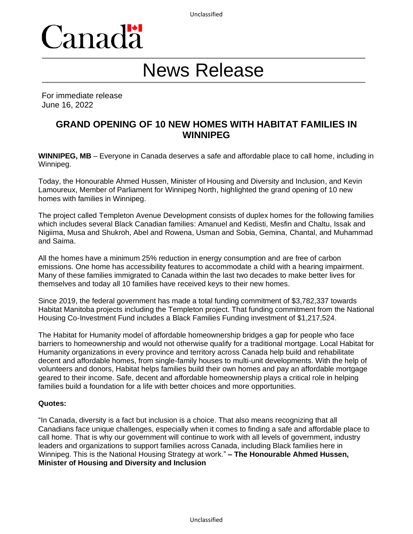

# News Release

For immediate release June 16, 2022

# **GRAND OPENING OF 10 NEW HOMES WITH HABITAT FAMILIES IN WINNIPEG**

**WINNIPEG, MB** – Everyone in Canada deserves a safe and affordable place to call home, including in Winnipeg.

Today, the Honourable Ahmed Hussen, Minister of Housing and Diversity and Inclusion, and Kevin Lamoureux, Member of Parliament for Winnipeg North, highlighted the grand opening of 10 new homes with families in Winnipeg.

The project called Templeton Avenue Development consists of duplex homes for the following families which includes several Black Canadian families: Amanuel and Kedisti, Mesfin and Chaltu, Issak and Nigiima, Musa and Shukroh, Abel and Rowena, Usman and Sobia, Gemina, Chantal, and Muhammad and Saima.

All the homes have a minimum 25% reduction in energy consumption and are free of carbon emissions. One home has accessibility features to accommodate a child with a hearing impairment. Many of these families immigrated to Canada within the last two decades to make better lives for themselves and today all 10 families have received keys to their new homes.

Since 2019, the federal government has made a total funding commitment of \$3,782,337 towards Habitat Manitoba projects including the Templeton project. That funding commitment from the National Housing Co-Investment Fund includes a Black Families Funding investment of \$1,217,524.

The Habitat for Humanity model of affordable homeownership bridges a gap for people who face barriers to homeownership and would not otherwise qualify for a traditional mortgage. Local Habitat for Humanity organizations in every province and territory across Canada help build and rehabilitate decent and affordable homes, from single-family houses to multi-unit developments. With the help of volunteers and donors, Habitat helps families build their own homes and pay an affordable mortgage geared to their income. Safe, decent and affordable homeownership plays a critical role in helping families build a foundation for a life with better choices and more opportunities.

#### **Quotes:**

"In Canada, diversity is a fact but inclusion is a choice. That also means recognizing that all Canadians face unique challenges, especially when it comes to finding a safe and affordable place to call home. That is why our government will continue to work with all levels of government, industry leaders and organizations to support families across Canada, including Black families here in Winnipeg. This is the National Housing Strategy at work." **– The Honourable Ahmed Hussen, Minister of Housing and Diversity and Inclusion**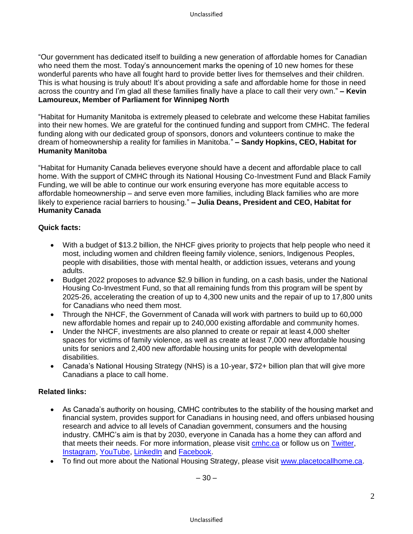"Our government has dedicated itself to building a new generation of affordable homes for Canadian who need them the most. Today's announcement marks the opening of 10 new homes for these wonderful parents who have all fought hard to provide better lives for themselves and their children. This is what housing is truly about! It's about providing a safe and affordable home for those in need across the country and I'm glad all these families finally have a place to call their very own." **– Kevin Lamoureux, Member of Parliament for Winnipeg North** 

"Habitat for Humanity Manitoba is extremely pleased to celebrate and welcome these Habitat families into their new homes. We are grateful for the continued funding and support from CMHC. The federal funding along with our dedicated group of sponsors, donors and volunteers continue to make the dream of homeownership a reality for families in Manitoba." **– Sandy Hopkins, CEO, Habitat for Humanity Manitoba**

"Habitat for Humanity Canada believes everyone should have a decent and affordable place to call home. With the support of CMHC through its National Housing Co-Investment Fund and Black Family Funding, we will be able to continue our work ensuring everyone has more equitable access to affordable homeownership – and serve even more families, including Black families who are more likely to experience racial barriers to housing." **– Julia Deans, President and CEO, Habitat for Humanity Canada**

#### **Quick facts:**

- With a budget of \$13.2 billion, the NHCF gives priority to projects that help people who need it most, including women and children fleeing family violence, seniors, Indigenous Peoples, people with disabilities, those with mental health, or addiction issues, veterans and young adults.
- Budget 2022 proposes to advance \$2.9 billion in funding, on a cash basis, under the National Housing Co-Investment Fund, so that all remaining funds from this program will be spent by 2025-26, accelerating the creation of up to 4,300 new units and the repair of up to 17,800 units for Canadians who need them most.
- Through the NHCF, the Government of Canada will work with partners to build up to 60,000 new affordable homes and repair up to 240,000 existing affordable and community homes.
- Under the NHCF, investments are also planned to create or repair at least 4,000 shelter spaces for victims of family violence, as well as create at least 7,000 new affordable housing units for seniors and 2,400 new affordable housing units for people with developmental disabilities.
- Canada's National Housing Strategy (NHS) is a 10-year, \$72+ billion plan that will give more Canadians a place to call home.

## **Related links:**

- As Canada's authority on housing, CMHC contributes to the stability of the housing market and financial system, provides support for Canadians in housing need, and offers unbiased housing research and advice to all levels of Canadian government, consumers and the housing industry. CMHC's aim is that by 2030, everyone in Canada has a home they can afford and that meets their needs. For more information, please visit [cmhc.ca](https://www.cmhc-schl.gc.ca/en) or follow us on [Twitter,](http://www.twitter.com/CMHC_ca) [Instagram,](https://www.instagram.com/cmhc_schl/) [YouTube,](https://www.youtube.com/user/CMHCca) [LinkedIn](https://www.linkedin.com/company/canada-mortgage-and-housing-corporation) and [Facebook.](https://www.facebook.com/schl.cmhc)
- To find out more about the National Housing Strategy, please visit [www.placetocallhome.ca.](http://www.placetocallhome.ca/)